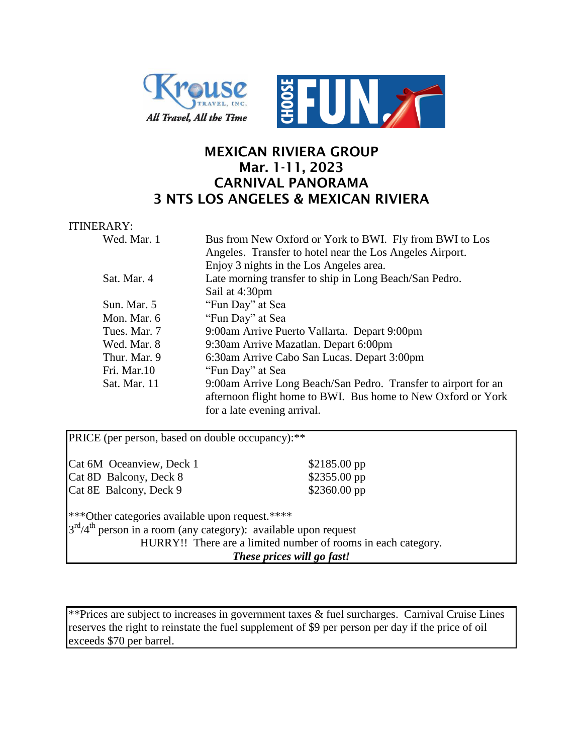



## **MEXICAN RIVIERA GROUP Mar. 1-11, 2023 CARNIVAL PANORAMA 3 NTS LOS ANGELES & MEXICAN RIVIERA**

## ITINERARY:

| Wed. Mar. 1  | Bus from New Oxford or York to BWI. Fly from BWI to Los        |
|--------------|----------------------------------------------------------------|
|              | Angeles. Transfer to hotel near the Los Angeles Airport.       |
|              | Enjoy 3 nights in the Los Angeles area.                        |
| Sat. Mar. 4  | Late morning transfer to ship in Long Beach/San Pedro.         |
|              | Sail at 4:30pm                                                 |
| Sun. Mar. 5  | "Fun Day" at Sea                                               |
| Mon. Mar. 6  | "Fun Day" at Sea                                               |
| Tues. Mar. 7 | 9:00am Arrive Puerto Vallarta. Depart 9:00pm                   |
| Wed. Mar. 8  | 9:30am Arrive Mazatlan. Depart 6:00pm                          |
| Thur. Mar. 9 | 6:30am Arrive Cabo San Lucas. Depart 3:00pm                    |
| Fri. Mar.10  | "Fun Day" at Sea                                               |
| Sat. Mar. 11 | 9:00am Arrive Long Beach/San Pedro. Transfer to airport for an |
|              | afternoon flight home to BWI. Bus home to New Oxford or York   |
|              | for a late evening arrival.                                    |

| PRICE (per person, based on double occupancy): **                 |                            |  |  |  |
|-------------------------------------------------------------------|----------------------------|--|--|--|
| Cat 6M Oceanview, Deck 1                                          | $$2185.00$ pp              |  |  |  |
| Cat 8D Balcony, Deck 8                                            | $$2355.00$ pp              |  |  |  |
| Cat 8E Balcony, Deck 9                                            | \$2360.00 pp               |  |  |  |
| ***Other categories available upon request.****                   |                            |  |  |  |
| $3rd/4th$ person in a room (any category): available upon request |                            |  |  |  |
| HURRY!! There are a limited number of rooms in each category.     |                            |  |  |  |
|                                                                   | These prices will go fast! |  |  |  |

\*\*Prices are subject to increases in government taxes & fuel surcharges. Carnival Cruise Lines reserves the right to reinstate the fuel supplement of \$9 per person per day if the price of oil exceeds \$70 per barrel.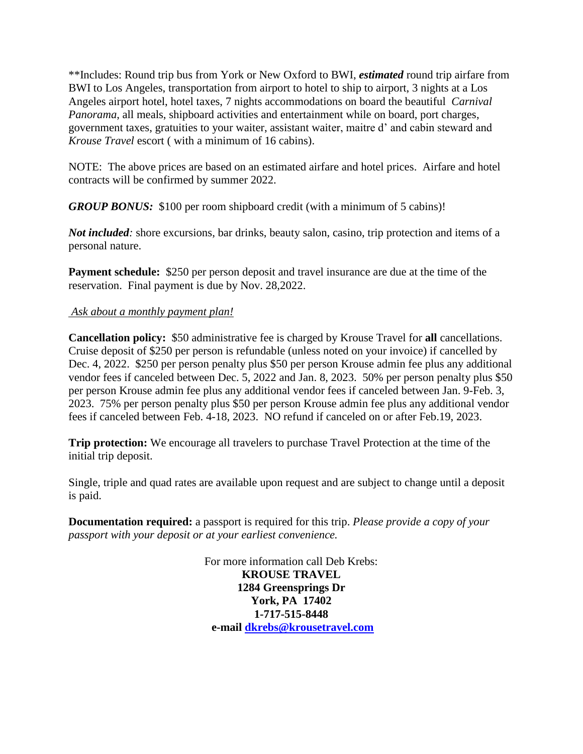\*\*Includes: Round trip bus from York or New Oxford to BWI, *estimated* round trip airfare from BWI to Los Angeles, transportation from airport to hotel to ship to airport, 3 nights at a Los Angeles airport hotel, hotel taxes, 7 nights accommodations on board the beautiful *Carnival Panorama*, all meals, shipboard activities and entertainment while on board, port charges, government taxes, gratuities to your waiter, assistant waiter, maitre d' and cabin steward and *Krouse Travel* escort ( with a minimum of 16 cabins).

NOTE: The above prices are based on an estimated airfare and hotel prices. Airfare and hotel contracts will be confirmed by summer 2022.

*GROUP BONUS:* \$100 per room shipboard credit (with a minimum of 5 cabins)!

*Not included*: shore excursions, bar drinks, beauty salon, casino, trip protection and items of a personal nature.

**Payment schedule:** \$250 per person deposit and travel insurance are due at the time of the reservation. Final payment is due by Nov. 28,2022.

## *Ask about a monthly payment plan!*

**Cancellation policy:** \$50 administrative fee is charged by Krouse Travel for **all** cancellations. Cruise deposit of \$250 per person is refundable (unless noted on your invoice) if cancelled by Dec. 4, 2022. \$250 per person penalty plus \$50 per person Krouse admin fee plus any additional vendor fees if canceled between Dec. 5, 2022 and Jan. 8, 2023. 50% per person penalty plus \$50 per person Krouse admin fee plus any additional vendor fees if canceled between Jan. 9-Feb. 3, 2023. 75% per person penalty plus \$50 per person Krouse admin fee plus any additional vendor fees if canceled between Feb. 4-18, 2023. NO refund if canceled on or after Feb.19, 2023.

**Trip protection:** We encourage all travelers to purchase Travel Protection at the time of the initial trip deposit.

Single, triple and quad rates are available upon request and are subject to change until a deposit is paid.

**Documentation required:** a passport is required for this trip. *Please provide a copy of your passport with your deposit or at your earliest convenience.*

> For more information call Deb Krebs: **KROUSE TRAVEL 1284 Greensprings Dr York, PA 17402 1-717-515-8448 e-mail [dkrebs@krousetravel.com](mailto:dkrebs@krousetravel.com)**